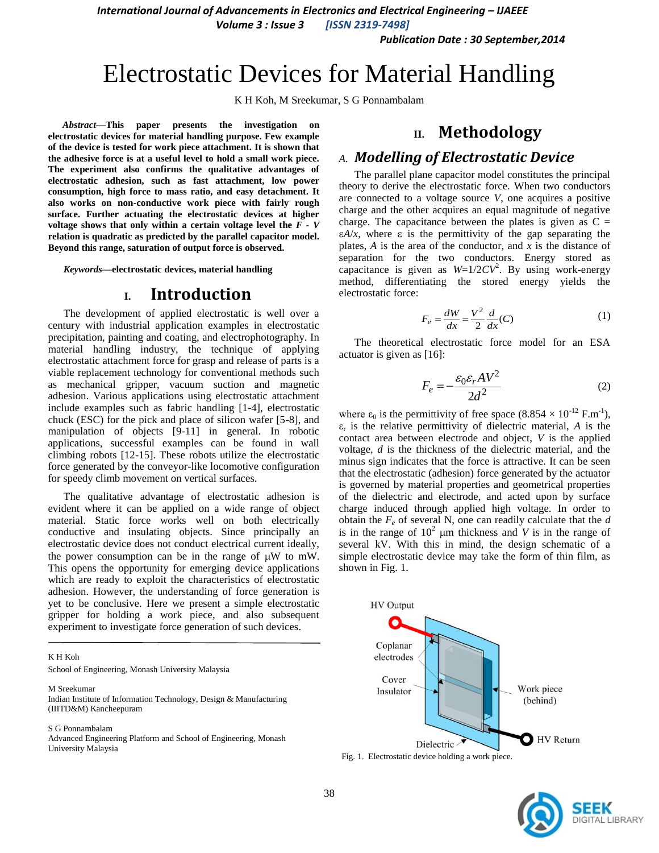*International Journal of Advancements in Electronics and Electrical Engineering – IJAEEE*

*Volume 3 : Issue 3 [ISSN 2319-7498]*

*Publication Date : 30 September,2014*

# Electrostatic Devices for Material Handling

K H Koh, M Sreekumar, S G Ponnambalam

*Abstract***—This paper presents the investigation on electrostatic devices for material handling purpose. Few example of the device is tested for work piece attachment. It is shown that the adhesive force is at a useful level to hold a small work piece. The experiment also confirms the qualitative advantages of electrostatic adhesion, such as fast attachment, low power consumption, high force to mass ratio, and easy detachment. It also works on non-conductive work piece with fairly rough surface. Further actuating the electrostatic devices at higher voltage shows that only within a certain voltage level the**  $F - V$ **relation is quadratic as predicted by the parallel capacitor model. Beyond this range, saturation of output force is observed.**

*Keywords—***electrostatic devices, material handling**

### **I. Introduction**

The development of applied electrostatic is well over a century with industrial application examples in electrostatic precipitation, painting and coating, and electrophotography. In material handling industry, the technique of applying electrostatic attachment force for grasp and release of parts is a viable replacement technology for conventional methods such as mechanical gripper, vacuum suction and magnetic adhesion. Various applications using electrostatic attachment include examples such as fabric handling [1-4], electrostatic chuck (ESC) for the pick and place of silicon wafer [5-8], and manipulation of objects [9-11] in general. In robotic applications, successful examples can be found in wall climbing robots [12-15]. These robots utilize the electrostatic force generated by the conveyor-like locomotive configuration for speedy climb movement on vertical surfaces.

The qualitative advantage of electrostatic adhesion is evident where it can be applied on a wide range of object material. Static force works well on both electrically conductive and insulating objects. Since principally an electrostatic device does not conduct electrical current ideally, the power consumption can be in the range of  $\mu$ W to mW. This opens the opportunity for emerging device applications which are ready to exploit the characteristics of electrostatic adhesion. However, the understanding of force generation is yet to be conclusive. Here we present a simple electrostatic gripper for holding a work piece, and also subsequent experiment to investigate force generation of such devices.

K H Koh

School of Engineering, Monash University Malaysia

M Sreekumar

Indian Institute of Information Technology, Design & Manufacturing (IIITD&M) Kancheepuram

S G Ponnambalam

Advanced Engineering Platform and School of Engineering, Monash University Malaysia

# **II. Methodology**

#### *A. Modelling of Electrostatic Device*

The parallel plane capacitor model constitutes the principal theory to derive the electrostatic force. When two conductors are connected to a voltage source *V*, one acquires a positive charge and the other acquires an equal magnitude of negative charge. The capacitance between the plates is given as  $C =$  $\epsilon A/x$ , where  $\epsilon$  is the permittivity of the gap separating the plates, *A* is the area of the conductor, and *x* is the distance of separation for the two conductors. Energy stored as capacitance is given as  $W=1/2CV^2$ . By using work-energy method, differentiating the stored energy yields the electrostatic force:

$$
F_e = \frac{dW}{dx} = \frac{V^2}{2} \frac{d}{dx}(C) \tag{1}
$$

The theoretical electrostatic force model for an ESA actuator is given as [16]:

$$
F_e = -\frac{\varepsilon_0 \varepsilon_r A V^2}{2d^2} \tag{2}
$$

where  $\varepsilon_0$  is the permittivity of free space  $(8.854 \times 10^{-12} \text{ F.m}^{-1})$ ,  $\varepsilon_r$  is the relative permittivity of dielectric material, *A* is the contact area between electrode and object, *V* is the applied voltage, *d* is the thickness of the dielectric material, and the minus sign indicates that the force is attractive. It can be seen that the electrostatic (adhesion) force generated by the actuator is governed by material properties and geometrical properties of the dielectric and electrode, and acted upon by surface charge induced through applied high voltage. In order to obtain the *F<sup>e</sup>* of several N, one can readily calculate that the *d* is in the range of  $10^2$  µm thickness and *V* is in the range of several kV. With this in mind, the design schematic of a simple electrostatic device may take the form of thin film, as shown in Fig. 1.





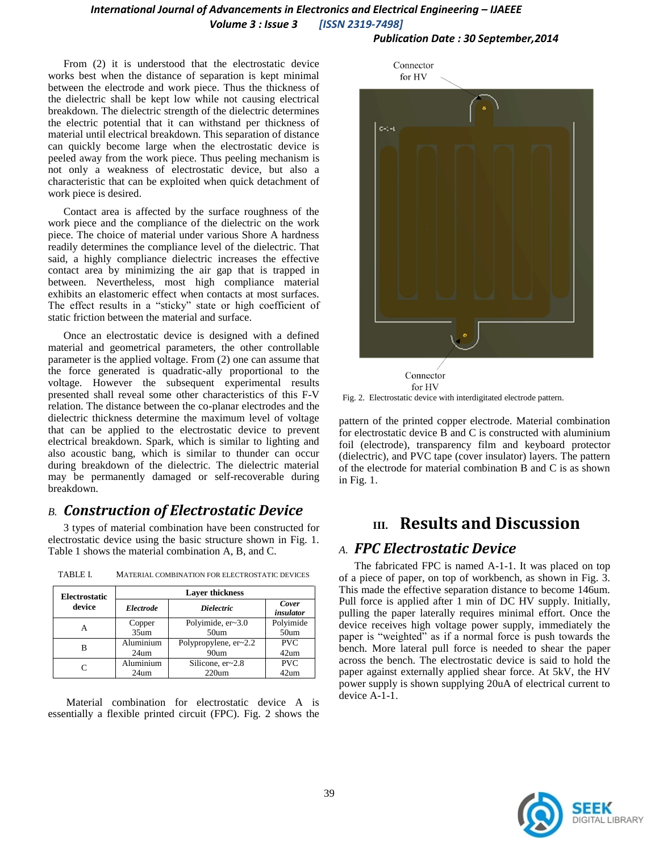## *International Journal of Advancements in Electronics and Electrical Engineering – IJAEEE Volume 3 : Issue 3 [ISSN 2319-7498]*

*Publication Date : 30 September,2014*

From (2) it is understood that the electrostatic device works best when the distance of separation is kept minimal between the electrode and work piece. Thus the thickness of the dielectric shall be kept low while not causing electrical breakdown. The dielectric strength of the dielectric determines the electric potential that it can withstand per thickness of material until electrical breakdown. This separation of distance can quickly become large when the electrostatic device is peeled away from the work piece. Thus peeling mechanism is not only a weakness of electrostatic device, but also a characteristic that can be exploited when quick detachment of work piece is desired.

Contact area is affected by the surface roughness of the work piece and the compliance of the dielectric on the work piece. The choice of material under various Shore A hardness readily determines the compliance level of the dielectric. That said, a highly compliance dielectric increases the effective contact area by minimizing the air gap that is trapped in between. Nevertheless, most high compliance material exhibits an elastomeric effect when contacts at most surfaces. The effect results in a "sticky" state or high coefficient of static friction between the material and surface.

Once an electrostatic device is designed with a defined material and geometrical parameters, the other controllable parameter is the applied voltage. From (2) one can assume that the force generated is quadratic-ally proportional to the voltage. However the subsequent experimental results presented shall reveal some other characteristics of this F-V relation. The distance between the co-planar electrodes and the dielectric thickness determine the maximum level of voltage that can be applied to the electrostatic device to prevent electrical breakdown. Spark, which is similar to lighting and also acoustic bang, which is similar to thunder can occur during breakdown of the dielectric. The dielectric material may be permanently damaged or self-recoverable during breakdown.

# *B. Construction of Electrostatic Device*

3 types of material combination have been constructed for electrostatic device using the basic structure shown in Fig. 1. Table 1 shows the material combination A, B, and C.

| <b>Electrostatic</b><br>device | <b>Laver thickness</b> |                         |                    |
|--------------------------------|------------------------|-------------------------|--------------------|
|                                | Electrode              | <i>Dielectric</i>       | Cover<br>insulator |
|                                | Copper                 | Polyimide, $er-3.0$     | Polyimide          |
|                                | 35um                   | 50 <sub>um</sub>        | 50 <sub>um</sub>   |
| в                              | Aluminium              | Polypropylene, $er-2.2$ | <b>PVC</b>         |
|                                | 24 <sub>um</sub>       | 90um                    | 42um               |
|                                | Aluminium              | Silicone, $er~2.8$      | <b>PVC</b>         |
|                                | 24 <sub>um</sub>       | $220$ um                | 42um               |

TABLE I. MATERIAL COMBINATION FOR ELECTROSTATIC DEVICES

Material combination for electrostatic device A is essentially a flexible printed circuit (FPC). Fig. 2 shows the



Fig. 2. Electrostatic device with interdigitated electrode pattern.

pattern of the printed copper electrode. Material combination for electrostatic device B and C is constructed with aluminium foil (electrode), transparency film and keyboard protector (dielectric), and PVC tape (cover insulator) layers. The pattern of the electrode for material combination B and C is as shown in Fig. 1.

# **III. Results and Discussion**

## *A. FPC Electrostatic Device*

The fabricated FPC is named A-1-1. It was placed on top of a piece of paper, on top of workbench, as shown in Fig. 3. This made the effective separation distance to become 146um. Pull force is applied after 1 min of DC HV supply. Initially, pulling the paper laterally requires minimal effort. Once the device receives high voltage power supply, immediately the paper is "weighted" as if a normal force is push towards the bench. More lateral pull force is needed to shear the paper across the bench. The electrostatic device is said to hold the paper against externally applied shear force. At 5kV, the HV power supply is shown supplying 20uA of electrical current to device A-1-1.

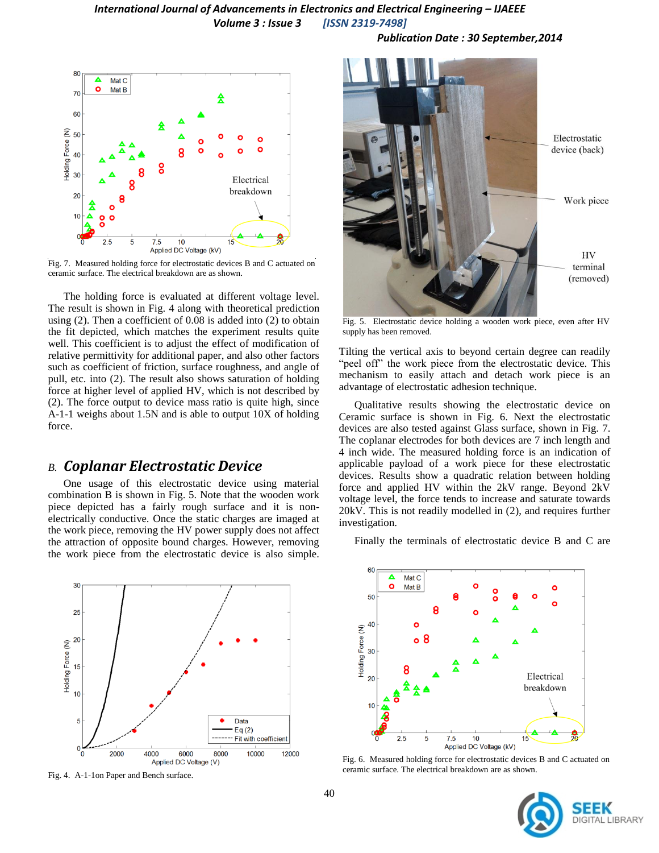#### *International Journal of Advancements in Electronics and Electrical Engineering – IJAEEE Volume 3 : Issue 3 [ISSN 2319-7498]*



Fig. 7. Measured holding force for electrostatic devices B and C actuated on ceramic surface. The electrical breakdown are as shown. ceramic surface. The electrical breakdown are as shown.

The holding force is evaluated at different voltage level. The result is shown in Fig. 4 along with theoretical prediction using (2). Then a coefficient of 0.08 is added into (2) to obtain the fit depicted, which matches the experiment results quite well. This coefficient is to adjust the effect of modification of relative permittivity for additional paper, and also other factors such as coefficient of friction, surface roughness, and angle of pull, etc. into (2). The result also shows saturation of holding force at higher level of applied HV, which is not described by (2). The force output to device mass ratio is quite high, since A-1-1 weighs about 1.5N and is able to output 10X of holding force.

#### *B. Coplanar Electrostatic Device*

One usage of this electrostatic device using material combination B is shown in Fig. 5. Note that the wooden work piece depicted has a fairly rough surface and it is nonelectrically conductive. Once the static charges are imaged at the work piece, removing the HV power supply does not affect the attraction of opposite bound charges. However, removing the work piece from the electrostatic device is also simple.



Fig. 4. A-1-1on Paper and Bench surface.

*Publication Date : 30 September,2014*



Fig. 5. Electrostatic device holding a wooden work piece, even after HV supply has been removed.

Tilting the vertical axis to beyond certain degree can readily "peel off" the work piece from the electrostatic device. This mechanism to easily attach and detach work piece is an advantage of electrostatic adhesion technique.

Qualitative results showing the electrostatic device on Ceramic surface is shown in Fig. 6. Next the electrostatic devices are also tested against Glass surface, shown in Fig. 7. The coplanar electrodes for both devices are 7 inch length and 4 inch wide. The measured holding force is an indication of applicable payload of a work piece for these electrostatic devices. Results show a quadratic relation between holding force and applied HV within the 2kV range. Beyond 2kV voltage level, the force tends to increase and saturate towards 20kV. This is not readily modelled in (2), and requires further investigation.

Finally the terminals of electrostatic device B and C are



Fig. 6. Measured holding force for electrostatic devices B and C actuated on ceramic surface. The electrical breakdown are as shown.

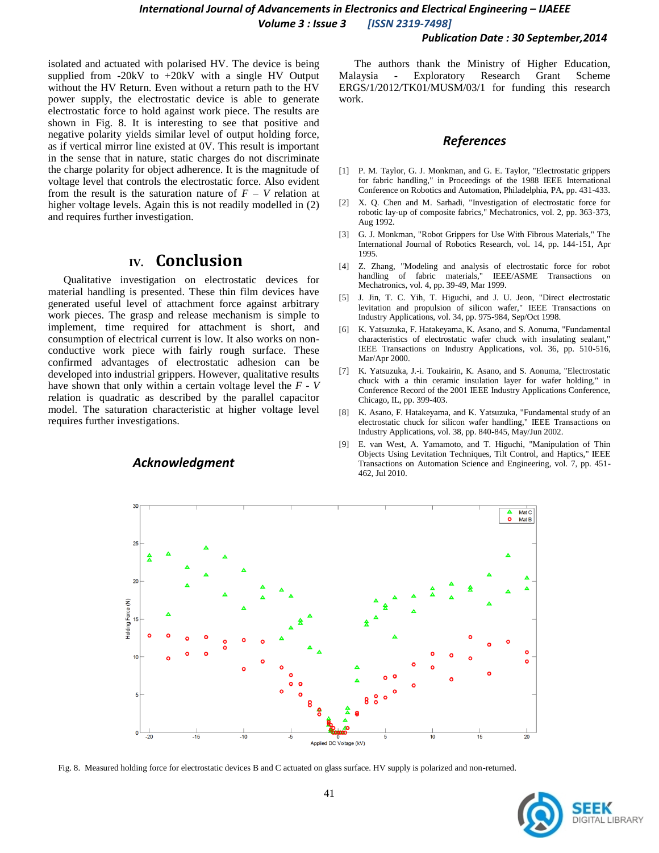#### *Publication Date : 30 September,2014*

isolated and actuated with polarised HV. The device is being supplied from  $-20kV$  to  $+20kV$  with a single HV Output without the HV Return. Even without a return path to the HV power supply, the electrostatic device is able to generate electrostatic force to hold against work piece. The results are shown in Fig. 8. It is interesting to see that positive and negative polarity yields similar level of output holding force, as if vertical mirror line existed at 0V. This result is important in the sense that in nature, static charges do not discriminate the charge polarity for object adherence. It is the magnitude of voltage level that controls the electrostatic force. Also evident from the result is the saturation nature of  $F - V$  relation at higher voltage levels. Again this is not readily modelled in (2) and requires further investigation.

## **IV. Conclusion**

Qualitative investigation on electrostatic devices for material handling is presented. These thin film devices have generated useful level of attachment force against arbitrary work pieces. The grasp and release mechanism is simple to implement, time required for attachment is short, and consumption of electrical current is low. It also works on nonconductive work piece with fairly rough surface. These confirmed advantages of electrostatic adhesion can be developed into industrial grippers. However, qualitative results have shown that only within a certain voltage level the *F* - *V* relation is quadratic as described by the parallel capacitor model. The saturation characteristic at higher voltage level requires further investigations.

#### *Acknowledgment*

The authors thank the Ministry of Higher Education, Malaysia - Exploratory Research Grant Scheme ERGS/1/2012/TK01/MUSM/03/1 for funding this research work.

#### *References*

- [1] P. M. Taylor, G. J. Monkman, and G. E. Taylor, "Electrostatic grippers" for fabric handling," in Proceedings of the 1988 IEEE International Conference on Robotics and Automation, Philadelphia, PA, pp. 431-433.
- [2] X. Q. Chen and M. Sarhadi, "Investigation of electrostatic force for robotic lay-up of composite fabrics," Mechatronics, vol. 2, pp. 363-373, Aug 1992.
- [3] G. J. Monkman, "Robot Grippers for Use With Fibrous Materials," The International Journal of Robotics Research, vol. 14, pp. 144-151, Apr 1995.
- [4] Z. Zhang, "Modeling and analysis of electrostatic force for robot handling of fabric materials," IEEE/ASME Transactions on Mechatronics, vol. 4, pp. 39-49, Mar 1999.
- [5] J. Jin, T. C. Yih, T. Higuchi, and J. U. Jeon, "Direct electrostatic levitation and propulsion of silicon wafer," IEEE Transactions on Industry Applications, vol. 34, pp. 975-984, Sep/Oct 1998.
- [6] K. Yatsuzuka, F. Hatakeyama, K. Asano, and S. Aonuma, "Fundamental characteristics of electrostatic wafer chuck with insulating sealant," IEEE Transactions on Industry Applications, vol. 36, pp. 510-516, Mar/Apr 2000.
- [7] K. Yatsuzuka, J.-i. Toukairin, K. Asano, and S. Aonuma, "Electrostatic chuck with a thin ceramic insulation layer for wafer holding," in Conference Record of the 2001 IEEE Industry Applications Conference, Chicago, IL, pp. 399-403.
- [8] K. Asano, F. Hatakeyama, and K. Yatsuzuka, "Fundamental study of an electrostatic chuck for silicon wafer handling," IEEE Transactions on Industry Applications, vol. 38, pp. 840-845, May/Jun 2002.
- [9] E. van West, A. Yamamoto, and T. Higuchi, "Manipulation of Thin Objects Using Levitation Techniques, Tilt Control, and Haptics," IEEE Transactions on Automation Science and Engineering, vol. 7, pp. 451- 462, Jul 2010.



Fig. 8. Measured holding force for electrostatic devices B and C actuated on glass surface. HV supply is polarized and non-returned.